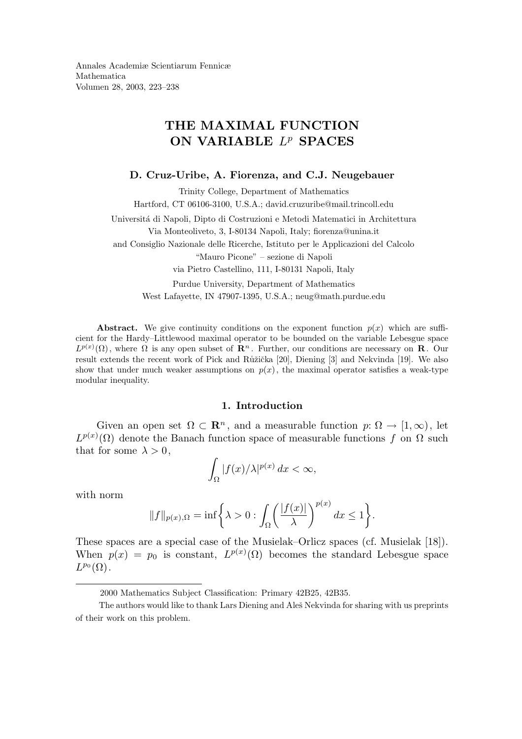Annales Academiæ Scientiarum Fennicæ Mathematica Volumen 28, 2003, 223–238

# THE MAXIMAL FUNCTION ON VARIABLE  $L^p$  SPACES

#### D. Cruz-Uribe, A. Fiorenza, and C.J. Neugebauer

Trinity College, Department of Mathematics Hartford, CT 06106-3100, U.S.A.; david.cruzuribe@mail.trincoll.edu Universit´a di Napoli, Dipto di Costruzioni e Metodi Matematici in Architettura Via Monteoliveto, 3, I-80134 Napoli, Italy; fiorenza@unina.it and Consiglio Nazionale delle Ricerche, Istituto per le Applicazioni del Calcolo "Mauro Picone" – sezione di Napoli via Pietro Castellino, 111, I-80131 Napoli, Italy Purdue University, Department of Mathematics West Lafayette, IN 47907-1395, U.S.A.; neug@math.purdue.edu

**Abstract.** We give continuity conditions on the exponent function  $p(x)$  which are sufficient for the Hardy–Littlewood maximal operator to be bounded on the variable Lebesgue space  $L^{p(x)}(\Omega)$ , where  $\Omega$  is any open subset of  $\mathbb{R}^n$ . Further, our conditions are necessary on  $\mathbb{R}$ . Our result extends the recent work of Pick and Růžička [20], Diening [3] and Nekvinda [19]. We also show that under much weaker assumptions on  $p(x)$ , the maximal operator satisfies a weak-type modular inequality.

#### 1. Introduction

Given an open set  $\Omega \subset \mathbb{R}^n$ , and a measurable function  $p: \Omega \to [1,\infty)$ , let  $L^{p(x)}(\Omega)$  denote the Banach function space of measurable functions f on  $\Omega$  such that for some  $\lambda > 0$ ,

$$
\int_{\Omega} |f(x)/\lambda|^{p(x)} dx < \infty,
$$

with norm

$$
||f||_{p(x),\Omega} = \inf \bigg\{ \lambda > 0 : \int_{\Omega} \bigg( \frac{|f(x)|}{\lambda} \bigg)^{p(x)} dx \le 1 \bigg\}.
$$

These spaces are a special case of the Musielak–Orlicz spaces (cf. Musielak [18]). When  $p(x) = p_0$  is constant,  $L^{p(x)}(\Omega)$  becomes the standard Lebesgue space  $L^{p_0}(\Omega)$ .

<sup>2000</sup> Mathematics Subject Classification: Primary 42B25, 42B35.

The authors would like to thank Lars Diening and Aleš Nekvinda for sharing with us preprints of their work on this problem.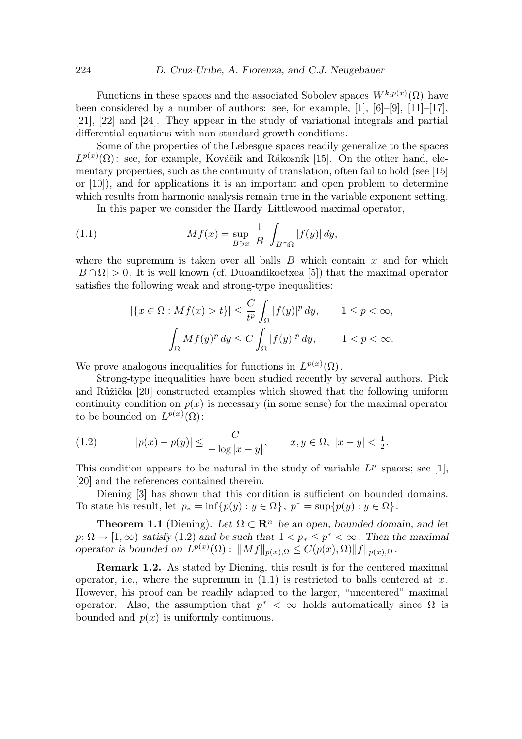Functions in these spaces and the associated Sobolev spaces  $W^{k,p(x)}(\Omega)$  have been considered by a number of authors: see, for example,  $[1]$ ,  $[6]-[9]$ ,  $[11]-[17]$ , [21], [22] and [24]. They appear in the study of variational integrals and partial differential equations with non-standard growth conditions.

Some of the properties of the Lebesgue spaces readily generalize to the spaces  $L^{p(x)}(\Omega)$ : see, for example, Kováčik and Rákosník [15]. On the other hand, elementary properties, such as the continuity of translation, often fail to hold (see [15] or  $[10]$ , and for applications it is an important and open problem to determine which results from harmonic analysis remain true in the variable exponent setting.

In this paper we consider the Hardy–Littlewood maximal operator,

(1.1) 
$$
Mf(x) = \sup_{B \ni x} \frac{1}{|B|} \int_{B \cap \Omega} |f(y)| dy,
$$

where the supremum is taken over all balls  $B$  which contain  $x$  and for which  $|B \cap \Omega| > 0$ . It is well known (cf. Duoandikoetxea [5]) that the maximal operator satisfies the following weak and strong-type inequalities:

$$
\begin{aligned} |\{x\in\Omega: Mf(x)>t\}|&\leq \frac{C}{t^p}\int_\Omega |f(y)|^p\,dy,\qquad 1\leq p<\infty,\\ &\int_\Omega Mf(y)^p\,dy\leq C\int_\Omega |f(y)|^p\,dy,\qquad 1
$$

We prove analogous inequalities for functions in  $L^{p(x)}(\Omega)$ .

Strong-type inequalities have been studied recently by several authors. Pick and Růžička  $[20]$  constructed examples which showed that the following uniform continuity condition on  $p(x)$  is necessary (in some sense) for the maximal operator to be bounded on  $L^{p(x)}(\Omega)$ :

(1.2) 
$$
|p(x) - p(y)| \le \frac{C}{-\log|x - y|}, \qquad x, y \in \Omega, \ |x - y| < \frac{1}{2}.
$$

This condition appears to be natural in the study of variable  $L^p$  spaces; see [1], [20] and the references contained therein.

Diening [3] has shown that this condition is sufficient on bounded domains. To state his result, let  $p_* = \inf\{p(y) : y \in \Omega\}$ ,  $p^* = \sup\{p(y) : y \in \Omega\}$ .

**Theorem 1.1** (Diening). Let  $\Omega \subset \mathbb{R}^n$  be an open, bounded domain, and let  $p: \Omega \to [1,\infty)$  satisfy  $(1.2)$  and be such that  $1 < p_* \leq p^* < \infty$ . Then the maximal operator is bounded on  $L^{p(x)}(\Omega)$ :  $||Mf||_{p(x),\Omega} \leq C(p(x), \Omega) ||f||_{p(x),\Omega}$ .

Remark 1.2. As stated by Diening, this result is for the centered maximal operator, i.e., where the supremum in  $(1.1)$  is restricted to balls centered at x. However, his proof can be readily adapted to the larger, "uncentered" maximal operator. Also, the assumption that  $p^* < \infty$  holds automatically since  $\Omega$  is bounded and  $p(x)$  is uniformly continuous.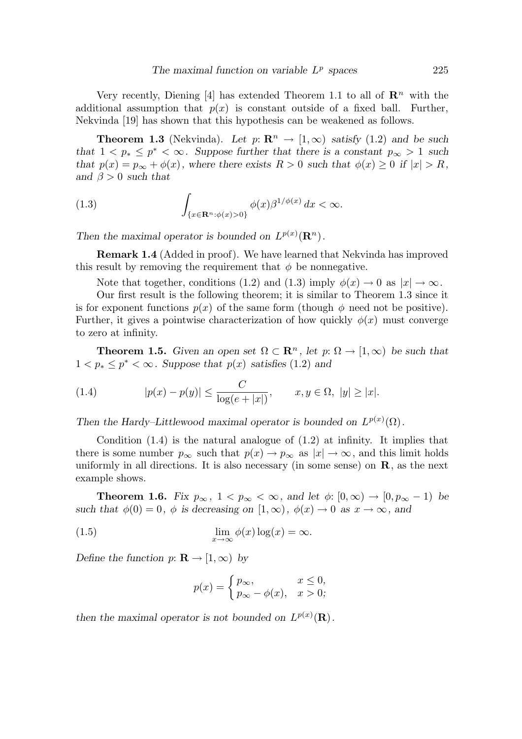Very recently, Diening [4] has extended Theorem 1.1 to all of  $\mathbb{R}^n$  with the additional assumption that  $p(x)$  is constant outside of a fixed ball. Further, Nekvinda [19] has shown that this hypothesis can be weakened as follows.

**Theorem 1.3** (Nekvinda). Let  $p: \mathbb{R}^n \to [1,\infty)$  satisfy (1.2) and be such that  $1 \leq p_* \leq p^* \leq \infty$ . Suppose further that there is a constant  $p_{\infty} > 1$  such that  $p(x) = p_{\infty} + \phi(x)$ , where there exists  $R > 0$  such that  $\phi(x) \geq 0$  if  $|x| > R$ , and  $\beta > 0$  such that

(1.3) 
$$
\int_{\{x \in \mathbf{R}^n : \phi(x) > 0\}} \phi(x) \beta^{1/\phi(x)} dx < \infty.
$$

Then the maximal operator is bounded on  $L^{p(x)}(\mathbf{R}^n)$ .

Remark 1.4 (Added in proof). We have learned that Nekvinda has improved this result by removing the requirement that  $\phi$  be nonnegative.

Note that together, conditions (1.2) and (1.3) imply  $\phi(x) \to 0$  as  $|x| \to \infty$ .

Our first result is the following theorem; it is similar to Theorem 1.3 since it is for exponent functions  $p(x)$  of the same form (though  $\phi$  need not be positive). Further, it gives a pointwise characterization of how quickly  $\phi(x)$  must converge to zero at infinity.

**Theorem 1.5.** Given an open set  $\Omega \subset \mathbb{R}^n$ , let  $p: \Omega \to [1,\infty)$  be such that  $1 < p_* \le p^* < \infty$ . Suppose that  $p(x)$  satisfies (1.2) and

(1.4) 
$$
|p(x) - p(y)| \le \frac{C}{\log(e + |x|)}, \quad x, y \in \Omega, \ |y| \ge |x|.
$$

Then the Hardy–Littlewood maximal operator is bounded on  $L^{p(x)}(\Omega)$ .

Condition  $(1.4)$  is the natural analogue of  $(1.2)$  at infinity. It implies that there is some number  $p_{\infty}$  such that  $p(x) \to p_{\infty}$  as  $|x| \to \infty$ , and this limit holds uniformly in all directions. It is also necessary (in some sense) on **, as the next** example shows.

**Theorem 1.6.** Fix  $p_{\infty}$ ,  $1 < p_{\infty} < \infty$ , and let  $\phi: [0, \infty) \to [0, p_{\infty} - 1]$  be such that  $\phi(0) = 0$ ,  $\phi$  is decreasing on  $[1, \infty)$ ,  $\phi(x) \to 0$  as  $x \to \infty$ , and

(1.5) 
$$
\lim_{x \to \infty} \phi(x) \log(x) = \infty.
$$

Define the function  $p: \mathbf{R} \to [1,\infty)$  by

$$
p(x) = \begin{cases} p_{\infty}, & x \le 0, \\ p_{\infty} - \phi(x), & x > 0; \end{cases}
$$

then the maximal operator is not bounded on  $L^{p(x)}(\mathbf{R})$ .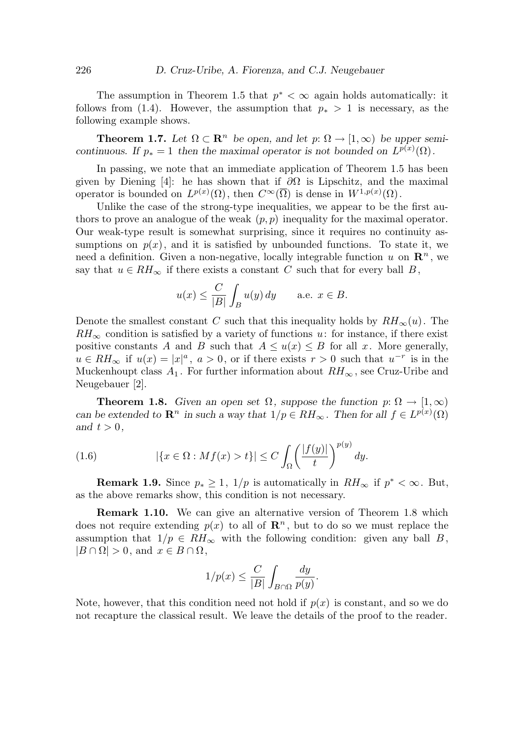The assumption in Theorem 1.5 that  $p^* < \infty$  again holds automatically: it follows from (1.4). However, the assumption that  $p_* > 1$  is necessary, as the following example shows.

**Theorem 1.7.** Let  $\Omega \subset \mathbb{R}^n$  be open, and let  $p: \Omega \to [1,\infty)$  be upper semicontinuous. If  $p_* = 1$  then the maximal operator is not bounded on  $L^{p(x)}(\Omega)$ .

In passing, we note that an immediate application of Theorem 1.5 has been given by Diening [4]: he has shown that if  $\partial\Omega$  is Lipschitz, and the maximal operator is bounded on  $L^{p(x)}(\Omega)$ , then  $C^{\infty}(\overline{\Omega})$  is dense in  $W^{1,p(x)}(\Omega)$ .

Unlike the case of the strong-type inequalities, we appear to be the first authors to prove an analogue of the weak  $(p, p)$  inequality for the maximal operator. Our weak-type result is somewhat surprising, since it requires no continuity assumptions on  $p(x)$ , and it is satisfied by unbounded functions. To state it, we need a definition. Given a non-negative, locally integrable function u on  $\mathbb{R}^n$ , we say that  $u \in RH_{\infty}$  if there exists a constant C such that for every ball B,

$$
u(x) \le \frac{C}{|B|} \int_B u(y) dy
$$
 a.e.  $x \in B$ .

Denote the smallest constant C such that this inequality holds by  $RH_{\infty}(u)$ . The  $RH_{\infty}$  condition is satisfied by a variety of functions u: for instance, if there exist positive constants A and B such that  $A \le u(x) \le B$  for all x. More generally,  $u \in RH_{\infty}$  if  $u(x) = |x|^a$ ,  $a > 0$ , or if there exists  $r > 0$  such that  $u^{-r}$  is in the Muckenhoupt class  $A_1$ . For further information about  $RH_{\infty}$ , see Cruz-Uribe and Neugebauer [2].

**Theorem 1.8.** Given an open set  $\Omega$ , suppose the function  $p: \Omega \to [1,\infty)$ can be extended to  $\mathbb{R}^n$  in such a way that  $1/p \in RH_\infty$ . Then for all  $f \in L^{p(x)}(\Omega)$ and  $t > 0$ ,

(1.6) 
$$
|\{x \in \Omega : Mf(x) > t\}| \le C \int_{\Omega} \left(\frac{|f(y)|}{t}\right)^{p(y)} dy.
$$

**Remark 1.9.** Since  $p_* \geq 1$ ,  $1/p$  is automatically in  $RH_{\infty}$  if  $p^* < \infty$ . But, as the above remarks show, this condition is not necessary.

Remark 1.10. We can give an alternative version of Theorem 1.8 which does not require extending  $p(x)$  to all of  $\mathbb{R}^n$ , but to do so we must replace the assumption that  $1/p \in RH_{\infty}$  with the following condition: given any ball B,  $|B \cap \Omega| > 0$ , and  $x \in B \cap \Omega$ ,

$$
1/p(x) \le \frac{C}{|B|} \int_{B \cap \Omega} \frac{dy}{p(y)}.
$$

Note, however, that this condition need not hold if  $p(x)$  is constant, and so we do not recapture the classical result. We leave the details of the proof to the reader.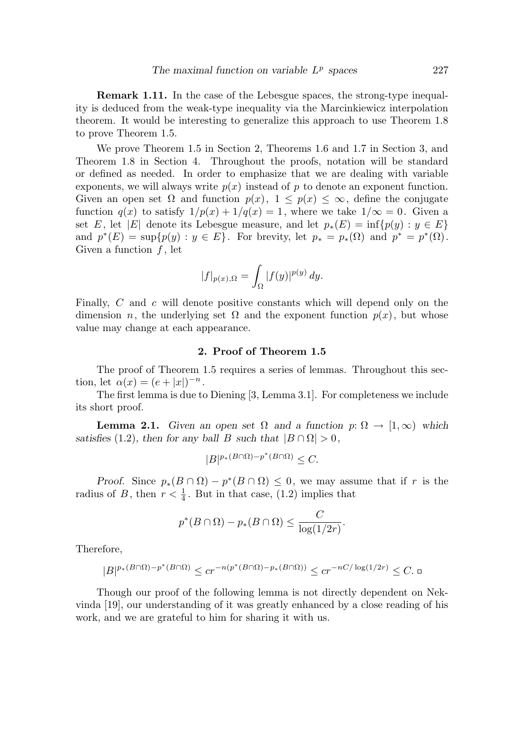Remark 1.11. In the case of the Lebesgue spaces, the strong-type inequality is deduced from the weak-type inequality via the Marcinkiewicz interpolation theorem. It would be interesting to generalize this approach to use Theorem 1.8 to prove Theorem 1.5.

We prove Theorem 1.5 in Section 2, Theorems 1.6 and 1.7 in Section 3, and Theorem 1.8 in Section 4. Throughout the proofs, notation will be standard or defined as needed. In order to emphasize that we are dealing with variable exponents, we will always write  $p(x)$  instead of p to denote an exponent function. Given an open set  $\Omega$  and function  $p(x)$ ,  $1 \leq p(x) \leq \infty$ , define the conjugate function  $q(x)$  to satisfy  $1/p(x) + 1/q(x) = 1$ , where we take  $1/\infty = 0$ . Given a set E, let |E| denote its Lebesgue measure, and let  $p_*(E) = \inf \{p(y) : y \in E\}$ and  $p^*(E) = \sup\{p(y) : y \in E\}$ . For brevity, let  $p_* = p_*(\Omega)$  and  $p^* = p^*(\Omega)$ . Given a function  $f$ , let

$$
|f|_{p(x),\Omega} = \int_{\Omega} |f(y)|^{p(y)} dy.
$$

Finally, C and c will denote positive constants which will depend only on the dimension *n*, the underlying set  $\Omega$  and the exponent function  $p(x)$ , but whose value may change at each appearance.

## 2. Proof of Theorem 1.5

The proof of Theorem 1.5 requires a series of lemmas. Throughout this section, let  $\alpha(x) = (e + |x|)^{-n}$ .

The first lemma is due to Diening [3, Lemma 3.1]. For completeness we include its short proof.

**Lemma 2.1.** Given an open set  $\Omega$  and a function  $p: \Omega \to [1,\infty)$  which satisfies (1.2), then for any ball B such that  $|B \cap \Omega| > 0$ ,

$$
|B|^{p_*(B\cap\Omega)-p^*(B\cap\Omega)} \leq C.
$$

Proof. Since  $p_*(B \cap \Omega) - p^*(B \cap \Omega) \leq 0$ , we may assume that if r is the radius of B, then  $r < \frac{1}{4}$  $\frac{1}{4}$ . But in that case, (1.2) implies that

$$
p^*(B \cap \Omega) - p_*(B \cap \Omega) \leq \frac{C}{\log(1/2r)}.
$$

Therefore,

$$
|B|^{p_*(B\cap\Omega)-p^*(B\cap\Omega)}\leq c r^{-n(p^*(B\cap\Omega)-p_*(B\cap\Omega))}\leq c r^{-nC/\log(1/2r)}\leq C.\ \text{d}
$$

Though our proof of the following lemma is not directly dependent on Nekvinda [19], our understanding of it was greatly enhanced by a close reading of his work, and we are grateful to him for sharing it with us.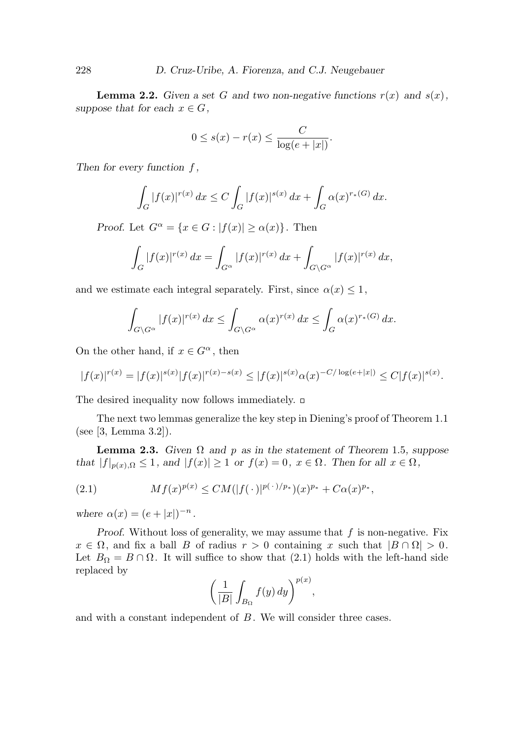**Lemma 2.2.** Given a set G and two non-negative functions  $r(x)$  and  $s(x)$ , suppose that for each  $x \in G$ ,

$$
0 \leq s(x) - r(x) \leq \frac{C}{\log(e+|x|)}.
$$

Then for every function  $f$ ,

$$
\int_G |f(x)|^{r(x)} dx \le C \int_G |f(x)|^{s(x)} dx + \int_G \alpha(x)^{r_*(G)} dx.
$$

Proof. Let  $G^{\alpha} = \{x \in G : |f(x)| \geq \alpha(x)\}\.$  Then

$$
\int_G |f(x)|^{r(x)} dx = \int_{G^{\alpha}} |f(x)|^{r(x)} dx + \int_{G \backslash G^{\alpha}} |f(x)|^{r(x)} dx,
$$

and we estimate each integral separately. First, since  $\alpha(x) \leq 1$ ,

$$
\int_{G\backslash G^{\alpha}} |f(x)|^{r(x)} dx \le \int_{G\backslash G^{\alpha}} \alpha(x)^{r(x)} dx \le \int_G \alpha(x)^{r_*(G)} dx.
$$

On the other hand, if  $x \in G^{\alpha}$ , then

$$
|f(x)|^{r(x)} = |f(x)|^{s(x)} |f(x)|^{r(x)-s(x)} \le |f(x)|^{s(x)} \alpha(x)^{-C/\log(e+|x|)} \le C|f(x)|^{s(x)}.
$$

The desired inequality now follows immediately.  $\Box$ 

The next two lemmas generalize the key step in Diening's proof of Theorem 1.1 (see [3, Lemma 3.2]).

**Lemma 2.3.** Given  $\Omega$  and p as in the statement of Theorem 1.5, suppose that  $|f|_{p(x),\Omega} \leq 1$ , and  $|f(x)| \geq 1$  or  $f(x) = 0$ ,  $x \in \Omega$ . Then for all  $x \in \Omega$ ,

(2.1) 
$$
Mf(x)^{p(x)} \leq CM(|f(\cdot)|^{p(\cdot)/p_*})(x)^{p_*} + C\alpha(x)^{p_*},
$$

where  $\alpha(x) = (e + |x|)^{-n}$ .

Proof. Without loss of generality, we may assume that  $f$  is non-negative. Fix  $x \in \Omega$ , and fix a ball B of radius  $r > 0$  containing x such that  $|B \cap \Omega| > 0$ . Let  $B_{\Omega} = B \cap \Omega$ . It will suffice to show that (2.1) holds with the left-hand side replaced by

$$
\left(\frac{1}{|B|}\int_{B_{\Omega}}f(y)\,dy\right)^{p(x)},
$$

and with a constant independent of B. We will consider three cases.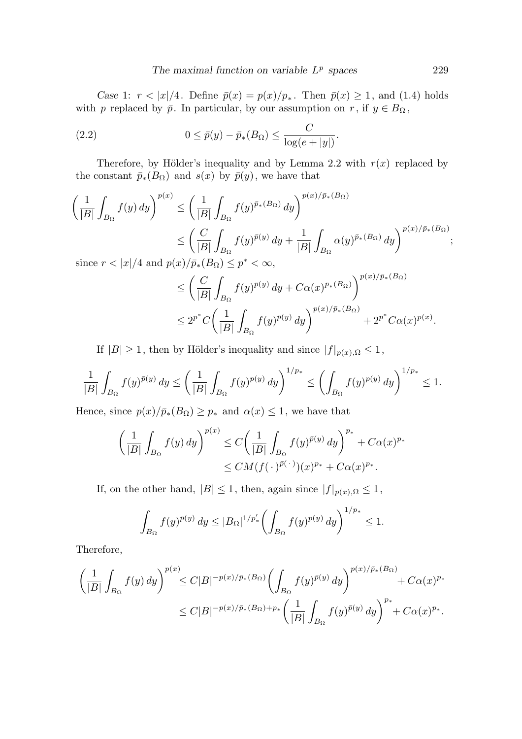Case 1:  $r < |x|/4$ . Define  $\bar{p}(x) = p(x)/p_*$ . Then  $\bar{p}(x) \ge 1$ , and (1.4) holds with p replaced by  $\bar{p}$ . In particular, by our assumption on r, if  $y \in B_{\Omega}$ ,

(2.2) 
$$
0 \leq \bar{p}(y) - \bar{p}_*(B_{\Omega}) \leq \frac{C}{\log(e+|y|)}.
$$

Therefore, by Hölder's inequality and by Lemma 2.2 with  $r(x)$  replaced by the constant  $\bar{p}_*(B_{\Omega})$  and  $s(x)$  by  $\bar{p}(y)$ , we have that

$$
\left(\frac{1}{|B|}\int_{B_{\Omega}}f(y) dy\right)^{p(x)} \leq \left(\frac{1}{|B|}\int_{B_{\Omega}}f(y)^{\bar{p}_{*}(B_{\Omega})} dy\right)^{p(x)/\bar{p}_{*}(B_{\Omega})}
$$
  

$$
\leq \left(\frac{C}{|B|}\int_{B_{\Omega}}f(y)^{\bar{p}(y)} dy + \frac{1}{|B|}\int_{B_{\Omega}}\alpha(y)^{\bar{p}_{*}(B_{\Omega})} dy\right)^{p(x)/\bar{p}_{*}(B_{\Omega})};
$$
  
since  $r < |x|/4$  and  $p(x)/\bar{p}_{*}(B_{\Omega}) \leq p^{*} < \infty$ ,

$$
\leq \left(\frac{C}{|B|}\int_{B_{\Omega}}f(y)^{\bar{p}(y)}\,dy + C\alpha(x)^{\bar{p}_{*}(B_{\Omega})}\right)^{p(x)/\bar{p}_{*}(B_{\Omega})}
$$
  

$$
\leq 2^{p^{*}}C\left(\frac{1}{|B|}\int_{B_{\Omega}}f(y)^{\bar{p}(y)}\,dy\right)^{p(x)/\bar{p}_{*}(B_{\Omega})} + 2^{p^{*}}C\alpha(x)^{p(x)}.
$$

If  $|B| \ge 1$ , then by Hölder's inequality and since  $|f|_{p(x),\Omega} \le 1$ ,

$$
\frac{1}{|B|} \int_{B_{\Omega}} f(y)^{\bar{p}(y)} dy \le \left(\frac{1}{|B|} \int_{B_{\Omega}} f(y)^{p(y)} dy\right)^{1/p_*} \le \left(\int_{B_{\Omega}} f(y)^{p(y)} dy\right)^{1/p_*} \le 1.
$$

Hence, since  $p(x)/\bar{p}_*(B_{\Omega}) \geq p_*$  and  $\alpha(x) \leq 1$ , we have that

$$
\left(\frac{1}{|B|}\int_{B_{\Omega}}f(y)\,dy\right)^{p(x)} \leq C\left(\frac{1}{|B|}\int_{B_{\Omega}}f(y)^{\bar{p}(y)}\,dy\right)^{p_*} + C\alpha(x)^{p_*}
$$

$$
\leq CM(f(\cdot)^{\bar{p}(\cdot)})(x)^{p_*} + C\alpha(x)^{p_*}.
$$

If, on the other hand,  $|B| \leq 1$ , then, again since  $|f|_{p(x),\Omega} \leq 1$ ,

$$
\int_{B_{\Omega}} f(y)^{\bar{p}(y)} dy \le |B_{\Omega}|^{1/p'_{*}} \left( \int_{B_{\Omega}} f(y)^{p(y)} dy \right)^{1/p_{*}} \le 1.
$$

Therefore,

$$
\left(\frac{1}{|B|}\int_{B_{\Omega}}f(y) \, dy\right)^{p(x)} \leq C|B|^{-p(x)/\bar{p}_{*}(B_{\Omega})} \left(\int_{B_{\Omega}}f(y)^{\bar{p}(y)} \, dy\right)^{p(x)/\bar{p}_{*}(B_{\Omega})} + C\alpha(x)^{p_{*}} \n\leq C|B|^{-p(x)/\bar{p}_{*}(B_{\Omega})+p_{*}} \left(\frac{1}{|B|}\int_{B_{\Omega}}f(y)^{\bar{p}(y)} \, dy\right)^{p_{*}} + C\alpha(x)^{p_{*}}.
$$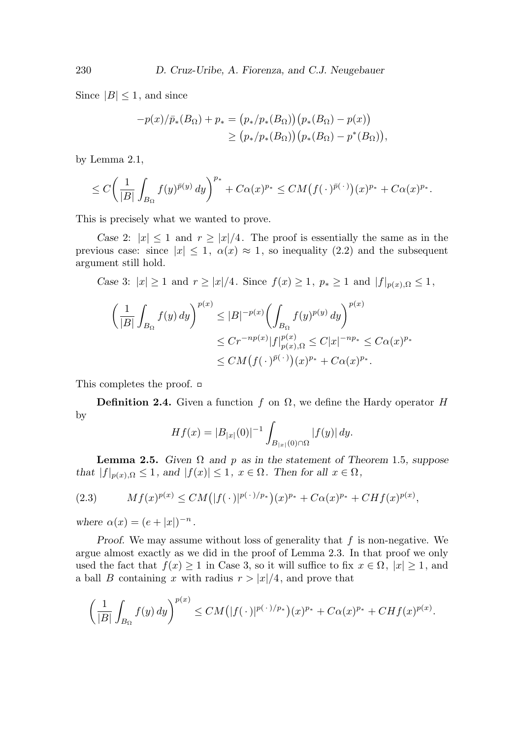Since  $|B| \leq 1$ , and since

$$
-p(x)/\bar{p}_*(B_{\Omega}) + p_* = (p_*/p_*(B_{\Omega})) (p_*(B_{\Omega}) - p(x))
$$
  
 
$$
\ge (p_*/p_*(B_{\Omega})) (p_*(B_{\Omega}) - p^*(B_{\Omega})),
$$

by Lemma 2.1,

$$
\leq C\bigg(\frac{1}{|B|}\int_{B_{\Omega}}f(y)^{\bar{p}(y)}\,dy\bigg)^{p_*}+C\alpha(x)^{p_*}\leq CM\big(f(\,\cdot\,)^{\bar{p}(\,\cdot\,)}\big)(x)^{p_*}+C\alpha(x)^{p_*}.
$$

This is precisely what we wanted to prove.

Case 2:  $|x| \leq 1$  and  $r \geq |x|/4$ . The proof is essentially the same as in the previous case: since  $|x| \leq 1$ ,  $\alpha(x) \approx 1$ , so inequality (2.2) and the subsequent argument still hold.

Case 3:  $|x| \ge 1$  and  $r \ge |x|/4$ . Since  $f(x) \ge 1$ ,  $p_* \ge 1$  and  $|f|_{p(x), \Omega} \le 1$ ,

$$
\left(\frac{1}{|B|}\int_{B_{\Omega}}f(y) dy\right)^{p(x)} \le |B|^{-p(x)} \left(\int_{B_{\Omega}}f(y)^{p(y)} dy\right)^{p(x)} \n\le Cr^{-np(x)}|f|_{p(x),\Omega}^{p(x)} \le C|x|^{-np_{*}} \le C\alpha(x)^{p_{*}} \n\le CM(f(\cdot)^{\bar{p}(\cdot)})(x)^{p_{*}} + C\alpha(x)^{p_{*}}.
$$

This completes the proof.

**Definition 2.4.** Given a function f on  $\Omega$ , we define the Hardy operator H by

$$
Hf(x) = |B_{|x|}(0)|^{-1} \int_{B_{|x|}(0) \cap \Omega} |f(y)| dy.
$$

**Lemma 2.5.** Given  $\Omega$  and p as in the statement of Theorem 1.5, suppose that  $|f|_{p(x),\Omega} \leq 1$ , and  $|f(x)| \leq 1$ ,  $x \in \Omega$ . Then for all  $x \in \Omega$ ,

(2.3) 
$$
Mf(x)^{p(x)} \le CM\big(|f(\,\cdot\,)|^{p(\,\cdot\,)/p_*}\big)(x)^{p_*} + C\alpha(x)^{p_*} + CHf(x)^{p(x)},
$$

where  $\alpha(x) = (e + |x|)^{-n}$ .

Proof. We may assume without loss of generality that  $f$  is non-negative. We argue almost exactly as we did in the proof of Lemma 2.3. In that proof we only used the fact that  $f(x) \geq 1$  in Case 3, so it will suffice to fix  $x \in \Omega$ ,  $|x| \geq 1$ , and a ball B containing x with radius  $r > |x|/4$ , and prove that

$$
\left(\frac{1}{|B|}\int_{B_{\Omega}}f(y) \, dy\right)^{p(x)} \leq CM\big(|f(\,\cdot\,)|^{p(\,\cdot\,)/p_*}\big)(x)^{p_*} + C\alpha(x)^{p_*} + CHf(x)^{p(x)}.
$$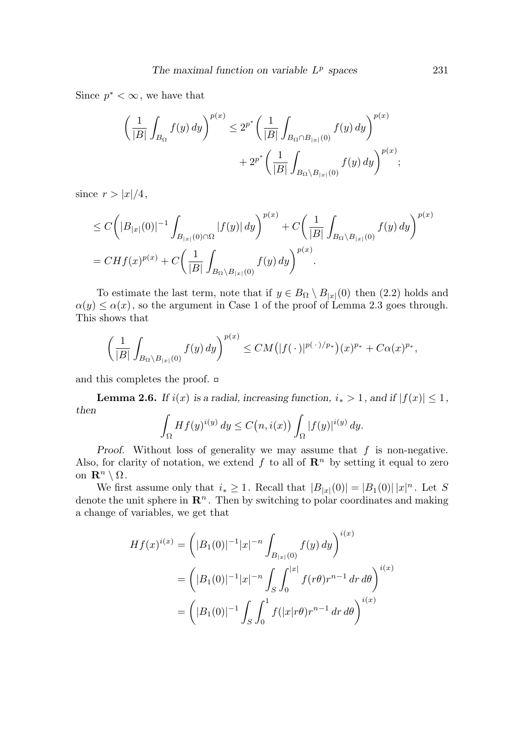Since  $p^* < \infty$ , we have that

$$
\left(\frac{1}{|B|}\int_{B_{\Omega}}f(y) \, dy\right)^{p(x)} \le 2^{p^*} \left(\frac{1}{|B|}\int_{B_{\Omega} \cap B_{|x|}(0)} f(y) \, dy\right)^{p(x)} + 2^{p^*} \left(\frac{1}{|B|}\int_{B_{\Omega} \setminus B_{|x|}(0)} f(y) \, dy\right)^{p(x)};
$$

since  $r > |x|/4$ ,

$$
\leq C\bigg(|B_{|x|}(0)|^{-1}\int_{B_{|x|}(0)\cap\Omega}|f(y)|\,dy\bigg)^{p(x)} + C\bigg(\frac{1}{|B|}\int_{B_{\Omega}\setminus B_{|x|}(0)}f(y)\,dy\bigg)^{p(x)} \n= CHf(x)^{p(x)} + C\bigg(\frac{1}{|B|}\int_{B_{\Omega}\setminus B_{|x|}(0)}f(y)\,dy\bigg)^{p(x)}.
$$

To estimate the last term, note that if  $y \in B_{\Omega} \setminus B_{|x|}(0)$  then  $(2.2)$  holds and  $\alpha(y) \leq \alpha(x)$ , so the argument in Case 1 of the proof of Lemma 2.3 goes through. This shows that

$$
\left(\frac{1}{|B|}\int_{B_{\Omega}\setminus B_{|x|}(0)}f(y)\,dy\right)^{p(x)}\leq CM\big(|f(\,\cdot\,)|^{p(\,\cdot\,)/p_*}\big)(x)^{p_*}+C\alpha(x)^{p_*},
$$

and this completes the proof.  $\Box$ 

**Lemma 2.6.** If  $i(x)$  is a radial, increasing function,  $i_* > 1$ , and if  $|f(x)| \leq 1$ , then

$$
\int_{\Omega} Hf(y)^{i(y)} dy \le C(n, i(x)) \int_{\Omega} |f(y)|^{i(y)} dy.
$$

Proof. Without loss of generality we may assume that  $f$  is non-negative. Also, for clarity of notation, we extend f to all of  $\mathbb{R}^n$  by setting it equal to zero on  $\mathbf{R}^n \setminus \Omega$ .

We first assume only that  $i_* \geq 1$ . Recall that  $|B_{|x|}(0)| = |B_1(0)| |x|^n$ . Let S denote the unit sphere in  $\mathbb{R}^n$ . Then by switching to polar coordinates and making a change of variables, we get that

$$
Hf(x)^{i(x)} = (|B_1(0)|^{-1}|x|^{-n} \int_{B_{|x|}(0)} f(y) dy)^{i(x)}
$$
  
= 
$$
(|B_1(0)|^{-1}|x|^{-n} \int_S \int_0^{|x|} f(r\theta) r^{n-1} dr d\theta \Big)^{i(x)}
$$
  
= 
$$
(|B_1(0)|^{-1} \int_S \int_0^1 f(|x| r\theta) r^{n-1} dr d\theta \Big)^{i(x)}
$$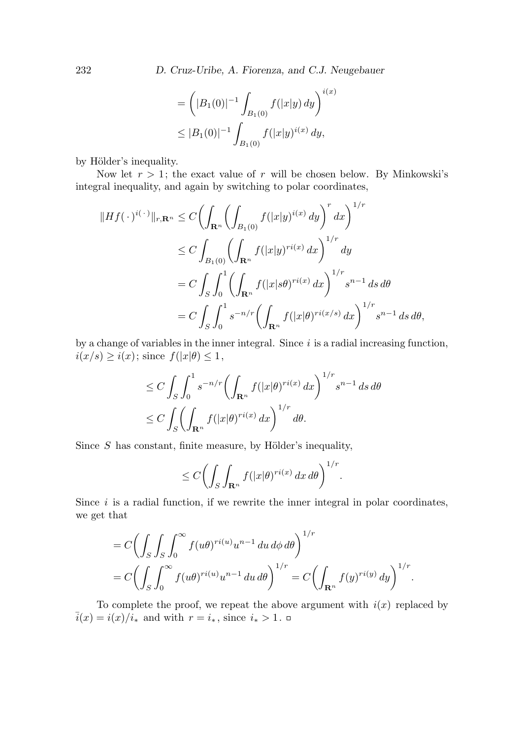232 D. Cruz-Uribe, A. Fiorenza, and C.J. Neugebauer

$$
= \left( |B_1(0)|^{-1} \int_{B_1(0)} f(|x|y) dy \right)^{i(x)}
$$
  

$$
\leq |B_1(0)|^{-1} \int_{B_1(0)} f(|x|y)^{i(x)} dy,
$$

by Hölder's inequality.

Now let  $r > 1$ ; the exact value of r will be chosen below. By Minkowski's integral inequality, and again by switching to polar coordinates,

$$
||Hf(\cdot)^{i(\cdot)}||_{r,\mathbf{R}^n} \leq C \bigg( \int_{\mathbf{R}^n} \bigg( \int_{B_1(0)} f(|x|y)^{i(x)} dy \bigg)^r dx \bigg)^{1/r}
$$
  
\n
$$
\leq C \int_{B_1(0)} \bigg( \int_{\mathbf{R}^n} f(|x|y)^{ri(x)} dx \bigg)^{1/r} dy
$$
  
\n
$$
= C \int_S \int_0^1 \bigg( \int_{\mathbf{R}^n} f(|x|s\theta)^{ri(x)} dx \bigg)^{1/r} s^{n-1} ds d\theta
$$
  
\n
$$
= C \int_S \int_0^1 s^{-n/r} \bigg( \int_{\mathbf{R}^n} f(|x|\theta)^{ri(x/s)} dx \bigg)^{1/r} s^{n-1} ds d\theta,
$$

by a change of variables in the inner integral. Since  $i$  is a radial increasing function,  $i(x/s) \geq i(x)$ ; since  $f(|x|\theta) \leq 1$ ,

$$
\leq C \int_{S} \int_{0}^{1} s^{-n/r} \left( \int_{\mathbf{R}^{n}} f(|x|\theta)^{ri(x)} dx \right)^{1/r} s^{n-1} ds d\theta
$$
  

$$
\leq C \int_{S} \left( \int_{\mathbf{R}^{n}} f(|x|\theta)^{ri(x)} dx \right)^{1/r} d\theta.
$$

Since  $S$  has constant, finite measure, by Hölder's inequality,

$$
\leq C \bigg(\int_S \int_{\mathbf{R}^n} f(|x|\theta)^{ri(x)} dx d\theta\bigg)^{1/r}.
$$

Since  $i$  is a radial function, if we rewrite the inner integral in polar coordinates, we get that

$$
= C \left( \int_S \int_S \int_0^\infty f(u\theta)^{ri(u)} u^{n-1} du d\phi d\theta \right)^{1/r}
$$
  
=  $C \left( \int_S \int_0^\infty f(u\theta)^{ri(u)} u^{n-1} du d\theta \right)^{1/r} = C \left( \int_{\mathbf{R}^n} f(y)^{ri(y)} dy \right)^{1/r}$ 

.

To complete the proof, we repeat the above argument with  $i(x)$  replaced by  $\overline{i}(x) = i(x)/i_*$  and with  $r = i_*$ , since  $i_* > 1$ . □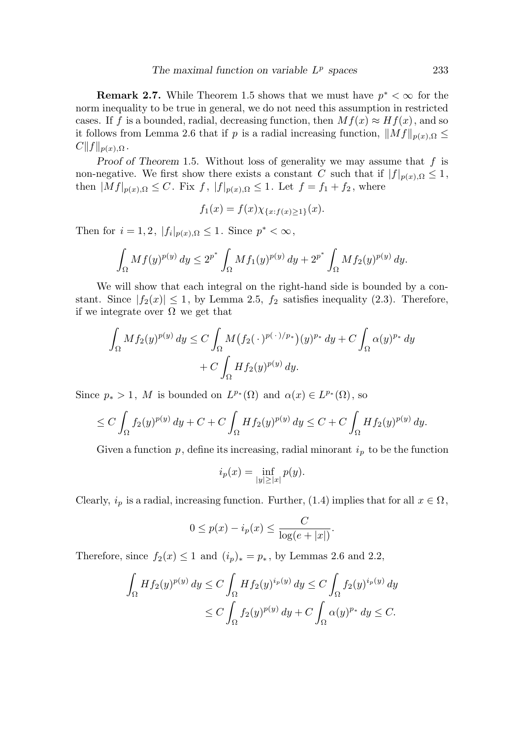**Remark 2.7.** While Theorem 1.5 shows that we must have  $p^* < \infty$  for the norm inequality to be true in general, we do not need this assumption in restricted cases. If f is a bounded, radial, decreasing function, then  $Mf(x) \approx Hf(x)$ , and so it follows from Lemma 2.6 that if p is a radial increasing function,  $||Mf||_{p(x),\Omega} \leq$  $C||f||_{p(x),\Omega}$ .

Proof of Theorem 1.5. Without loss of generality we may assume that  $f$  is non-negative. We first show there exists a constant C such that if  $|f|_{p(x),\Omega} \leq 1$ , then  $|Mf|_{p(x),\Omega} \leq C$ . Fix f,  $|f|_{p(x),\Omega} \leq 1$ . Let  $f = f_1 + f_2$ , where

$$
f_1(x) = f(x)\chi_{\{x:f(x)\geq 1\}}(x).
$$

Then for  $i = 1, 2$ ,  $|f_i|_{p(x),\Omega} \leq 1$ . Since  $p^* < \infty$ ,

$$
\int_{\Omega} M f(y)^{p(y)} dy \le 2^{p^*} \int_{\Omega} M f_1(y)^{p(y)} dy + 2^{p^*} \int_{\Omega} M f_2(y)^{p(y)} dy.
$$

We will show that each integral on the right-hand side is bounded by a constant. Since  $|f_2(x)| \leq 1$ , by Lemma 2.5,  $f_2$  satisfies inequality (2.3). Therefore, if we integrate over  $\Omega$  we get that

$$
\int_{\Omega} M f_2(y)^{p(y)} dy \le C \int_{\Omega} M(f_2(\cdot)^{p(\cdot)/p_*})(y)^{p_*} dy + C \int_{\Omega} \alpha(y)^{p_*} dy
$$

$$
+ C \int_{\Omega} H f_2(y)^{p(y)} dy.
$$

Since  $p_* > 1$ , M is bounded on  $L^{p_*}(\Omega)$  and  $\alpha(x) \in L^{p_*}(\Omega)$ , so

$$
\leq C\int_{\Omega}f_2(y)^{p(y)}\,dy+C+C\int_{\Omega}Hf_2(y)^{p(y)}\,dy\leq C+C\int_{\Omega}Hf_2(y)^{p(y)}\,dy.
$$

Given a function  $p$ , define its increasing, radial minorant  $i<sub>p</sub>$  to be the function

$$
i_p(x) = \inf_{|y| \ge |x|} p(y).
$$

Clearly,  $i_p$  is a radial, increasing function. Further, (1.4) implies that for all  $x \in \Omega$ ,

$$
0 \le p(x) - i_p(x) \le \frac{C}{\log(e+|x|)}.
$$

Therefore, since  $f_2(x) \leq 1$  and  $(i_p)_* = p_*$ , by Lemmas 2.6 and 2.2,

$$
\int_{\Omega} H f_2(y)^{p(y)} dy \le C \int_{\Omega} H f_2(y)^{i_p(y)} dy \le C \int_{\Omega} f_2(y)^{i_p(y)} dy
$$
  

$$
\le C \int_{\Omega} f_2(y)^{p(y)} dy + C \int_{\Omega} \alpha(y)^{p_*} dy \le C.
$$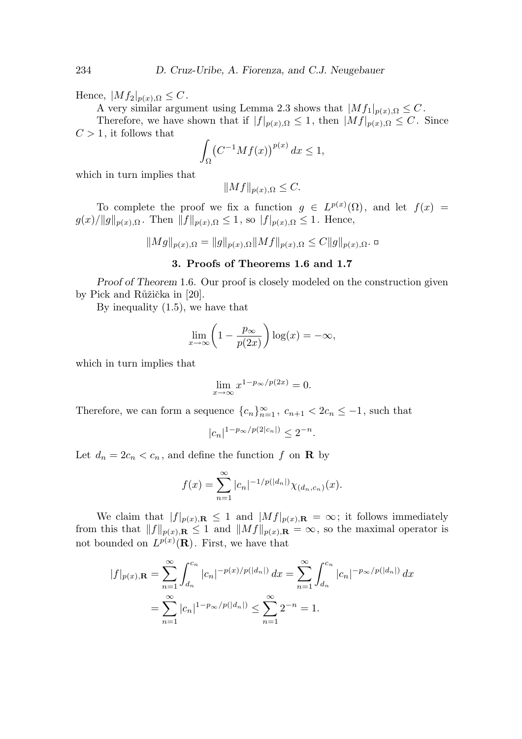Hence,  $|Mf_2|_{p(x),\Omega} \leq C$ .

A very similar argument using Lemma 2.3 shows that  $|Mf_1|_{p(x),\Omega} \leq C$ .

Therefore, we have shown that if  $|f|_{p(x),\Omega} \leq 1$ , then  $|Mf|_{p(x),\Omega} \leq C$ . Since  $C > 1$ , it follows that

$$
\int_{\Omega} \left( C^{-1} M f(x) \right)^{p(x)} dx \le 1,
$$

which in turn implies that

$$
||Mf||_{p(x),\Omega} \leq C.
$$

To complete the proof we fix a function  $g \in L^{p(x)}(\Omega)$ , and let  $f(x) =$  $g(x)/||g||_{p(x),\Omega}$ . Then  $||f||_{p(x),\Omega} \leq 1$ , so  $|f|_{p(x),\Omega} \leq 1$ . Hence,

$$
||Mg||_{p(x),\Omega} = ||g||_{p(x),\Omega}||Mf||_{p(x),\Omega} \leq C||g||_{p(x),\Omega}. \Box
$$

# 3. Proofs of Theorems 1.6 and 1.7

Proof of Theorem 1.6. Our proof is closely modeled on the construction given by Pick and Růžička in [20].

By inequality (1.5), we have that

$$
\lim_{x \to \infty} \left( 1 - \frac{p_{\infty}}{p(2x)} \right) \log(x) = -\infty,
$$

which in turn implies that

$$
\lim_{x \to \infty} x^{1 - p_{\infty}/p(2x)} = 0.
$$

Therefore, we can form a sequence  ${c_n}_{n=1}^{\infty}$ ,  $c_{n+1} < 2c_n \leq -1$ , such that

$$
|c_n|^{1-p_{\infty}/p(2|c_n|)} \le 2^{-n}.
$$

Let  $d_n = 2c_n < c_n$ , and define the function f on **R** by

$$
f(x) = \sum_{n=1}^{\infty} |c_n|^{-1/p(|d_n|)} \chi_{(d_n, c_n)}(x).
$$

We claim that  $|f|_{p(x),\mathbf{R}} \leq 1$  and  $|Mf|_{p(x),\mathbf{R}} = \infty$ ; it follows immediately from this that  $||f||_{p(x),\mathbf{R}} \leq 1$  and  $||Mf||_{p(x),\mathbf{R}} = \infty$ , so the maximal operator is not bounded on  $L^{p(x)}(\mathbf{R})$ . First, we have that

$$
|f|_{p(x),\mathbf{R}} = \sum_{n=1}^{\infty} \int_{d_n}^{c_n} |c_n|^{-p(x)/p(|d_n|)} dx = \sum_{n=1}^{\infty} \int_{d_n}^{c_n} |c_n|^{-p_{\infty}/p(|d_n|)} dx
$$
  
= 
$$
\sum_{n=1}^{\infty} |c_n|^{1-p_{\infty}/p(|d_n|)} \le \sum_{n=1}^{\infty} 2^{-n} = 1.
$$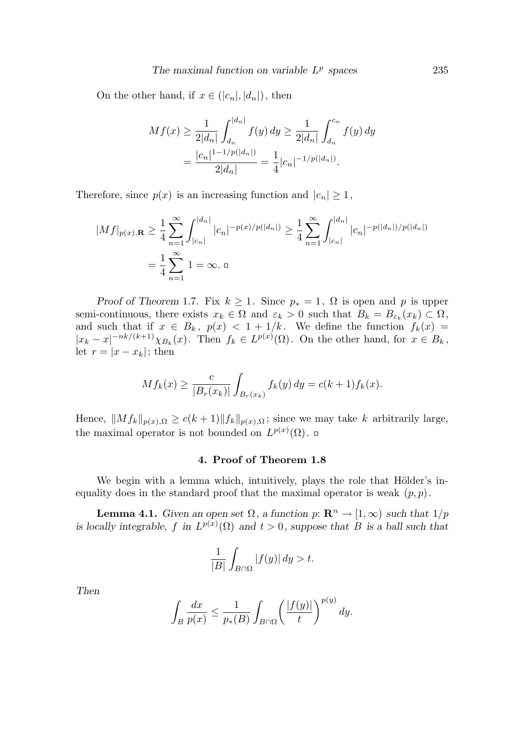On the other hand, if  $x \in (|c_n|, |d_n|)$ , then

$$
Mf(x) \ge \frac{1}{2|d_n|} \int_{d_n}^{|d_n|} f(y) \, dy \ge \frac{1}{2|d_n|} \int_{d_n}^{c_n} f(y) \, dy
$$

$$
= \frac{|c_n|^{1-1/p(|d_n|)}}{2|d_n|} = \frac{1}{4}|c_n|^{-1/p(|d_n|)}.
$$

Therefore, since  $p(x)$  is an increasing function and  $|c_n| \geq 1$ ,

$$
|Mf|_{p(x),\mathbf{R}} \ge \frac{1}{4} \sum_{n=1}^{\infty} \int_{|c_n|}^{|d_n|} |c_n|^{-p(x)/p(|d_n|)} \ge \frac{1}{4} \sum_{n=1}^{\infty} \int_{|c_n|}^{|d_n|} |c_n|^{-p(|d_n|)/p(|d_n|)}
$$

$$
= \frac{1}{4} \sum_{n=1}^{\infty} 1 = \infty. \ \Box
$$

Proof of Theorem 1.7. Fix  $k \geq 1$ . Since  $p_* = 1$ ,  $\Omega$  is open and p is upper semi-continuous, there exists  $x_k \in \Omega$  and  $\varepsilon_k > 0$  such that  $B_k = B_{\varepsilon_k}(x_k) \subset \Omega$ , and such that if  $x \in B_k$ ,  $p(x) < 1 + 1/k$ . We define the function  $f_k(x) =$  $|x_k - x|^{-nk/(k+1)} \chi_{B_k}(x)$ . Then  $f_k \in L^{p(x)}(\Omega)$ . On the other hand, for  $x \in B_k$ , let  $r = |x - x_k|$ ; then

$$
Mf_k(x) \ge \frac{c}{|B_r(x_k)|} \int_{B_r(x_k)} f_k(y) \, dy = c(k+1)f_k(x).
$$

Hence,  $||Mf_k||_{p(x),\Omega} \ge c(k+1)||f_k||_{p(x),\Omega}$ ; since we may take k arbitrarily large, the maximal operator is not bounded on  $L^{p(x)}(\Omega)$ .

## 4. Proof of Theorem 1.8

We begin with a lemma which, intuitively, plays the role that Hölder's inequality does in the standard proof that the maximal operator is weak  $(p, p)$ .

**Lemma 4.1.** Given an open set  $\Omega$ , a function  $p: \mathbb{R}^n \to [1,\infty)$  such that  $1/p$ is locally integrable, f in  $L^{p(x)}(\Omega)$  and  $t > 0$ , suppose that B is a ball such that

$$
\frac{1}{|B|} \int_{B \cap \Omega} |f(y)| \, dy > t.
$$

Then

$$
\int_B \frac{dx}{p(x)} \le \frac{1}{p_*(B)} \int_{B \cap \Omega} \left( \frac{|f(y)|}{t} \right)^{p(y)} dy.
$$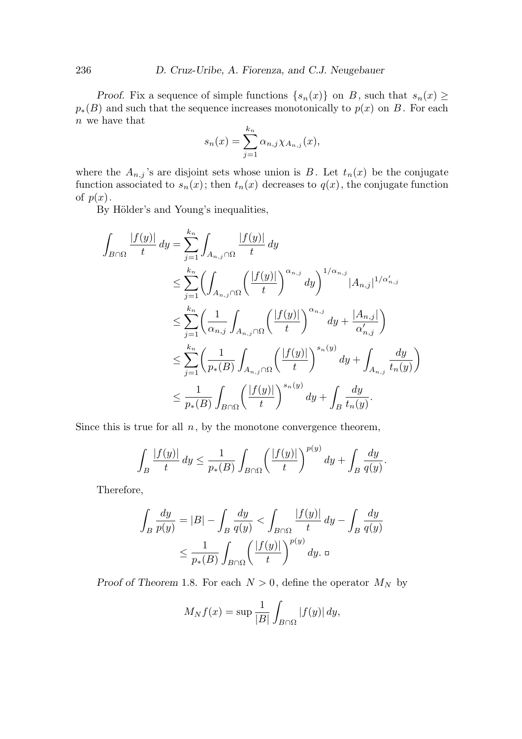Proof. Fix a sequence of simple functions  $\{s_n(x)\}\$  on B, such that  $s_n(x) \geq$  $p_*(B)$  and such that the sequence increases monotonically to  $p(x)$  on B. For each  $n$  we have that

$$
s_n(x) = \sum_{j=1}^{k_n} \alpha_{n,j} \chi_{A_{n,j}}(x),
$$

where the  $A_{n,j}$ 's are disjoint sets whose union is B. Let  $t_n(x)$  be the conjugate function associated to  $s_n(x)$ ; then  $t_n(x)$  decreases to  $q(x)$ , the conjugate function of  $p(x)$ .

By Hölder's and Young's inequalities,

$$
\int_{B\cap\Omega} \frac{|f(y)|}{t} dy = \sum_{j=1}^{k_n} \int_{A_{n,j}\cap\Omega} \frac{|f(y)|}{t} dy
$$
\n
$$
\leq \sum_{j=1}^{k_n} \left( \int_{A_{n,j}\cap\Omega} \left( \frac{|f(y)|}{t} \right)^{\alpha_{n,j}} dy \right)^{1/\alpha_{n,j}} |A_{n,j}|^{1/\alpha'_{n,j}}
$$
\n
$$
\leq \sum_{j=1}^{k_n} \left( \frac{1}{\alpha_{n,j}} \int_{A_{n,j}\cap\Omega} \left( \frac{|f(y)|}{t} \right)^{\alpha_{n,j}} dy + \frac{|A_{n,j}|}{\alpha'_{n,j}} \right)
$$
\n
$$
\leq \sum_{j=1}^{k_n} \left( \frac{1}{p_*(B)} \int_{A_{n,j}\cap\Omega} \left( \frac{|f(y)|}{t} \right)^{s_n(y)} dy + \int_{A_{n,j}} \frac{dy}{t_n(y)} \right)
$$
\n
$$
\leq \frac{1}{p_*(B)} \int_{B\cap\Omega} \left( \frac{|f(y)|}{t} \right)^{s_n(y)} dy + \int_B \frac{dy}{t_n(y)}.
$$

Since this is true for all  $n$ , by the monotone convergence theorem,

$$
\int_B \frac{|f(y)|}{t} dy \le \frac{1}{p_*(B)} \int_{B \cap \Omega} \left(\frac{|f(y)|}{t}\right)^{p(y)} dy + \int_B \frac{dy}{q(y)}.
$$

Therefore,

$$
\int_{B} \frac{dy}{p(y)} = |B| - \int_{B} \frac{dy}{q(y)} < \int_{B \cap \Omega} \frac{|f(y)|}{t} dy - \int_{B} \frac{dy}{q(y)} \\
\leq \frac{1}{p_*(B)} \int_{B \cap \Omega} \left(\frac{|f(y)|}{t}\right)^{p(y)} dy. \quad \Box
$$

Proof of Theorem 1.8. For each  $N > 0$ , define the operator  $M_N$  by

$$
M_N f(x) = \sup \frac{1}{|B|} \int_{B \cap \Omega} |f(y)| dy,
$$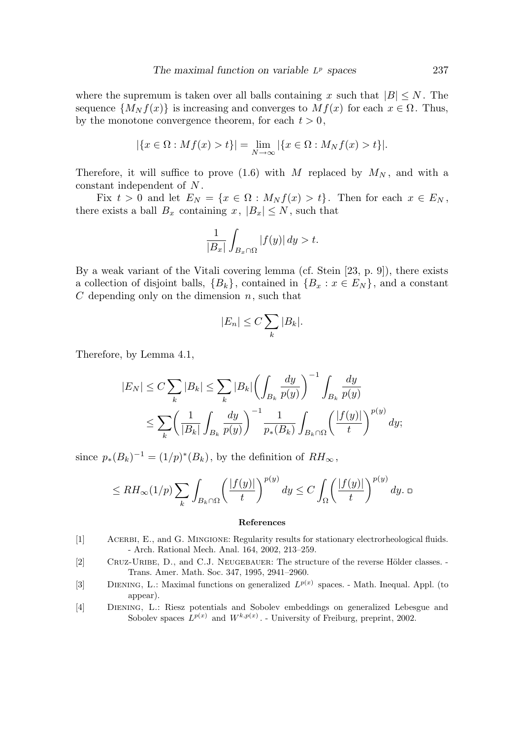where the supremum is taken over all balls containing x such that  $|B| \leq N$ . The sequence  $\{M_N f(x)\}\$ is increasing and converges to  $Mf(x)$  for each  $x \in \Omega$ . Thus, by the monotone convergence theorem, for each  $t > 0$ ,

$$
|\{x \in \Omega : Mf(x) > t\}| = \lim_{N \to \infty} |\{x \in \Omega : M_Nf(x) > t\}|.
$$

Therefore, it will suffice to prove (1.6) with M replaced by  $M_N$ , and with a constant independent of N .

Fix  $t > 0$  and let  $E_N = \{x \in \Omega : M_N f(x) > t\}$ . Then for each  $x \in E_N$ , there exists a ball  $B_x$  containing  $x, |B_x| \leq N$ , such that

$$
\frac{1}{|B_x|} \int_{B_x \cap \Omega} |f(y)| \, dy > t.
$$

By a weak variant of the Vitali covering lemma (cf. Stein [23, p. 9]), there exists a collection of disjoint balls,  ${B_k}$ , contained in  ${B_x : x \in E_N}$ , and a constant  $C$  depending only on the dimension  $n$ , such that

$$
|E_n| \le C \sum_k |B_k|.
$$

Therefore, by Lemma 4.1,

$$
|E_N| \le C \sum_k |B_k| \le \sum_k |B_k| \left( \int_{B_k} \frac{dy}{p(y)} \right)^{-1} \int_{B_k} \frac{dy}{p(y)} \le \sum_k \left( \frac{1}{|B_k|} \int_{B_k} \frac{dy}{p(y)} \right)^{-1} \frac{1}{p_*(B_k)} \int_{B_k \cap \Omega} \left( \frac{|f(y)|}{t} \right)^{p(y)} dy;
$$

since  $p_*(B_k)^{-1} = (1/p)^*(B_k)$ , by the definition of  $RH_{\infty}$ ,

$$
\leq RH_{\infty}(1/p)\sum_{k}\int_{B_{k}\cap\Omega}\left(\frac{|f(y)|}{t}\right)^{p(y)}dy\leq C\int_{\Omega}\left(\frac{|f(y)|}{t}\right)^{p(y)}dy.\ \ \Box
$$

#### References

- [1] ACERBI, E., and G. MINGIONE: Regularity results for stationary electrorheological fluids. - Arch. Rational Mech. Anal. 164, 2002, 213–259.
- [2] CRUZ-URIBE, D., and C.J. NEUGEBAUER: The structure of the reverse Hölder classes. -Trans. Amer. Math. Soc. 347, 1995, 2941–2960.
- [3] DIENING, L.: Maximal functions on generalized  $L^{p(x)}$  spaces. Math. Inequal. Appl. (to appear).
- [4] Diening, L.: Riesz potentials and Sobolev embeddings on generalized Lebesgue and Sobolev spaces  $L^{p(x)}$  and  $W^{k,p(x)}$ . - University of Freiburg, preprint, 2002.